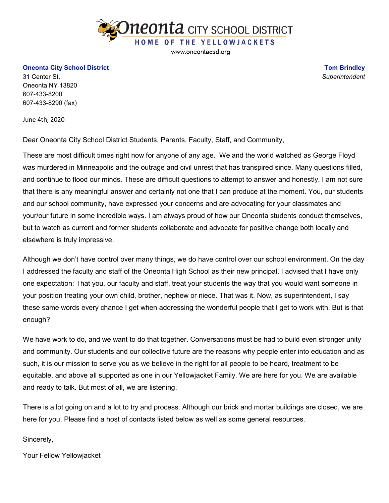

www.oneontacsd.org

## **Oneonta City School District**

31 Center St. Oneonta NY 13820 607-433-8200 607-433-8290 (fax)

June 4th, 2020

Dear Oneonta City School District Students, Parents, Faculty, Staff, and Community,

These are most difficult times right now for anyone of any age. We and the world watched as George Floyd was murdered in Minneapolis and the outrage and civil unrest that has transpired since. Many questions filled, and continue to flood our minds. These are difficult questions to attempt to answer and honestly, I am not sure that there is any meaningful answer and certainly not one that I can produce at the moment. You, our students and our school community, have expressed your concerns and are advocating for your classmates and your/our future in some incredible ways. I am always proud of how our Oneonta students conduct themselves, but to watch as current and former students collaborate and advocate for positive change both locally and elsewhere is truly impressive.

Although we don't have control over many things, we do have control over our school environment. On the day I addressed the faculty and staff of the Oneonta High School as their new principal, I advised that I have only one expectation: That you, our faculty and staff, treat your students the way that you would want someone in your position treating your own child, brother, nephew or niece. That was it. Now, as superintendent, I say these same words every chance I get when addressing the wonderful people that I get to work with. But is that enough?

We have work to do, and we want to do that together. Conversations must be had to build even stronger unity and community. Our students and our collective future are the reasons why people enter into education and as such, it is our mission to serve you as we believe in the right for all people to be heard, treatment to be equitable, and above all supported as one in our Yellowjacket Family. We are here for you. We are available and ready to talk. But most of all, we are listening.

There is a lot going on and a lot to try and process. Although our brick and mortar buildings are closed, we are here for you. Please find a host of contacts listed below as well as some general resources.

Sincerely,

Your Fellow Yellowjacket

**Tom Brindley** *Superintendent*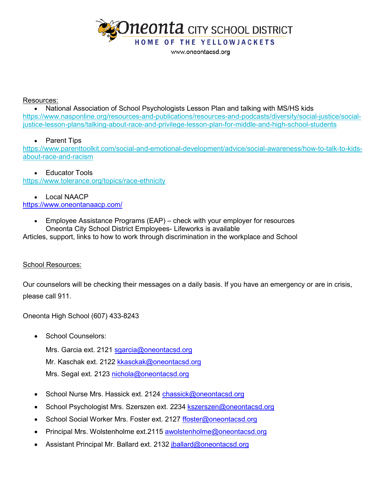

www.oneontacsd.org

## Resources:

• National Association of School Psychologists Lesson Plan and talking with MS/HS kids [https://www.nasponline.org/resources-and-publications/resources-and-podcasts/diversity/social-justice/social](https://www.nasponline.org/resources-and-publications/resources-and-podcasts/diversity/social-justice/social-justice-lesson-plans/talking-about-race-and-privilege-lesson-plan-for-middle-and-high-school-students)[justice-lesson-plans/talking-about-race-and-privilege-lesson-plan-for-middle-and-high-school-students](https://www.nasponline.org/resources-and-publications/resources-and-podcasts/diversity/social-justice/social-justice-lesson-plans/talking-about-race-and-privilege-lesson-plan-for-middle-and-high-school-students)

## • Parent Tips

[https://www.parenttoolkit.com/social-and-emotional-development/advice/social-awareness/how-to-talk-to-kids](https://www.parenttoolkit.com/social-and-emotional-development/advice/social-awareness/how-to-talk-to-kids-about-race-and-racism)[about-race-and-racism](https://www.parenttoolkit.com/social-and-emotional-development/advice/social-awareness/how-to-talk-to-kids-about-race-and-racism)

• Educator Tools <https://www.tolerance.org/topics/race-ethnicity>

• Local NAACP <https://www.oneontanaacp.com/>

> • Employee Assistance Programs (EAP) – check with your employer for resources Oneonta City School District Employees- Lifeworks is available

Articles, support, links to how to work through discrimination in the workplace and School

## School Resources:

Our counselors will be checking their messages on a daily basis. If you have an emergency or are in crisis, please call 911.

Oneonta High School (607) 433-8243

School Counselors:

Mrs. Garcia ext. 2121 sgarcia@oneontacsd.org Mr. Kaschak ext. 2122 kkasckak@oneontacsd.org Mrs. Segal ext. 2123 [nichola@oneontacsd.org](mailto:nichola@oneontacsd.org)

- School Nurse Mrs. Hassick ext. 2124 [chassick@oneontacsd.org](mailto:chassick@oneontacsd.org)
- School Psychologist Mrs. Szerszen ext. 2234 [kszerszen@oneontacsd.org](mailto:kszerszen@oneontacsd.org)
- School Social Worker Mrs. Foster ext. 2127 [ffoster@oneontacsd.org](mailto:ffoster@oneontacsd.org)
- Principal Mrs. Wolstenholme ext.2115 [awolstenholme@oneontacsd.org](mailto:awolstenholme@oneontacsd.org)
- Assistant Principal Mr. Ballard ext. 2132 [jballard@oneontacsd.org](mailto:jballard@oneontacsd.org)